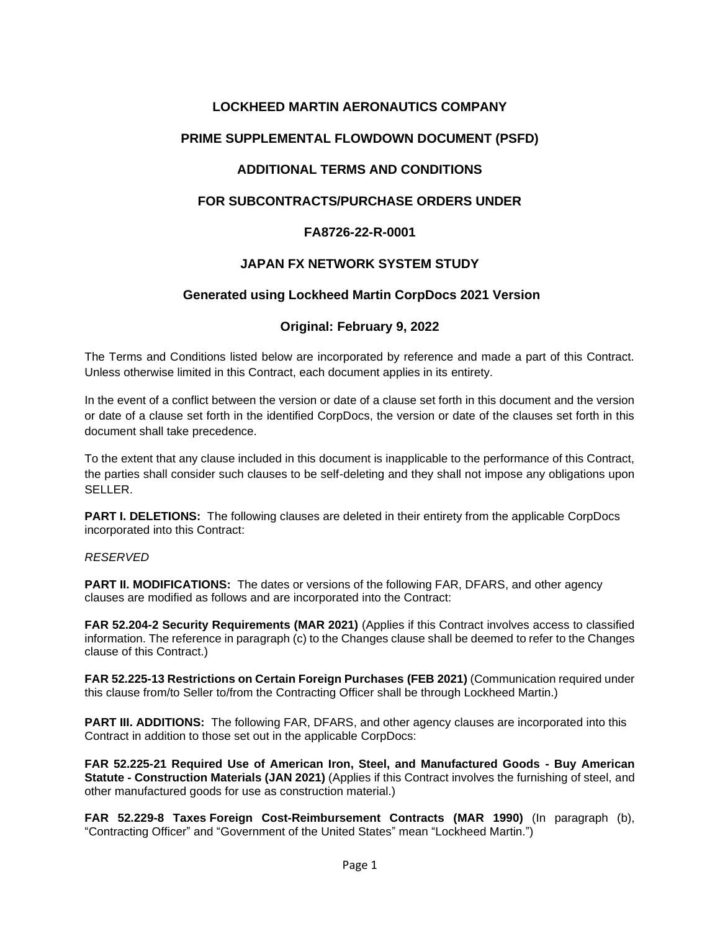# **LOCKHEED MARTIN AERONAUTICS COMPANY**

# **PRIME SUPPLEMENTAL FLOWDOWN DOCUMENT (PSFD)**

# **ADDITIONAL TERMS AND CONDITIONS**

# **FOR SUBCONTRACTS/PURCHASE ORDERS UNDER**

## **FA8726-22-R-0001**

## **JAPAN FX NETWORK SYSTEM STUDY**

## **Generated using Lockheed Martin CorpDocs 2021 Version**

## **Original: February 9, 2022**

The Terms and Conditions listed below are incorporated by reference and made a part of this Contract. Unless otherwise limited in this Contract, each document applies in its entirety.

In the event of a conflict between the version or date of a clause set forth in this document and the version or date of a clause set forth in the identified CorpDocs, the version or date of the clauses set forth in this document shall take precedence.

To the extent that any clause included in this document is inapplicable to the performance of this Contract, the parties shall consider such clauses to be self-deleting and they shall not impose any obligations upon SELLER.

**PART I. DELETIONS:** The following clauses are deleted in their entirety from the applicable CorpDocs incorporated into this Contract:

#### *RESERVED*

**PART II. MODIFICATIONS:** The dates or versions of the following FAR, DFARS, and other agency clauses are modified as follows and are incorporated into the Contract:

**FAR 52.204-2 Security Requirements (MAR 2021)** (Applies if this Contract involves access to classified information. The reference in paragraph (c) to the Changes clause shall be deemed to refer to the Changes clause of this Contract.)

**FAR 52.225-13 Restrictions on Certain Foreign Purchases (FEB 2021)** (Communication required under this clause from/to Seller to/from the Contracting Officer shall be through Lockheed Martin.)

**PART III. ADDITIONS:** The following FAR, DFARS, and other agency clauses are incorporated into this Contract in addition to those set out in the applicable CorpDocs:

**FAR 52.225-21 Required Use of American Iron, Steel, and Manufactured Goods - Buy American Statute - Construction Materials (JAN 2021)** (Applies if this Contract involves the furnishing of steel, and other manufactured goods for use as construction material.)

**FAR 52.229-8 Taxes Foreign Cost-Reimbursement Contracts (MAR 1990)** (In paragraph (b), "Contracting Officer" and "Government of the United States" mean "Lockheed Martin.")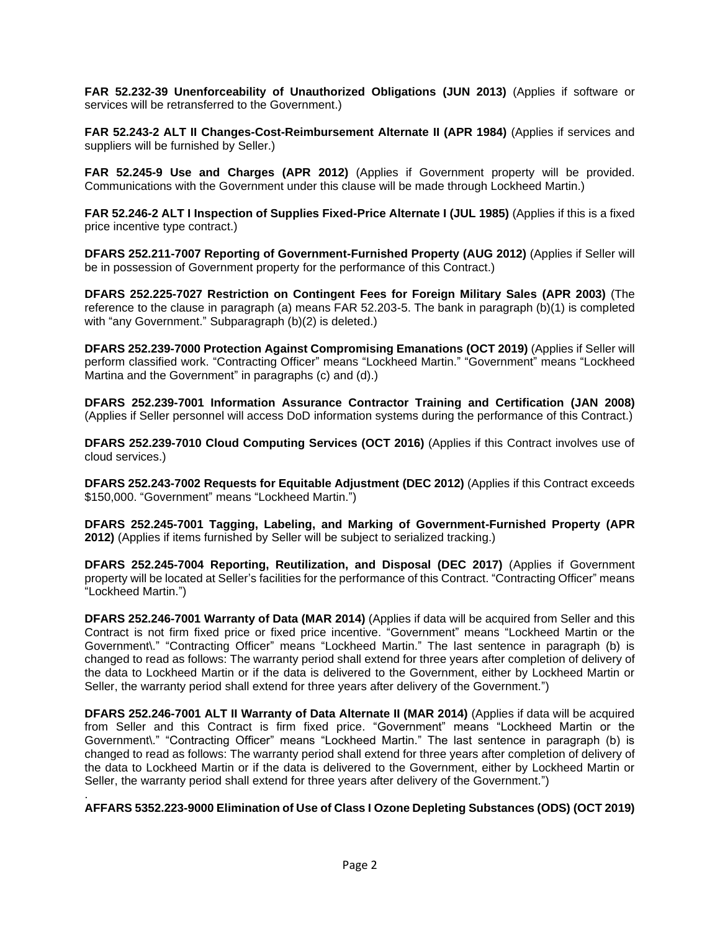**FAR 52.232-39 Unenforceability of Unauthorized Obligations (JUN 2013)** (Applies if software or services will be retransferred to the Government.)

**FAR 52.243-2 ALT II Changes-Cost-Reimbursement Alternate II (APR 1984)** (Applies if services and suppliers will be furnished by Seller.)

**FAR 52.245-9 Use and Charges (APR 2012)** (Applies if Government property will be provided. Communications with the Government under this clause will be made through Lockheed Martin.)

**FAR 52.246-2 ALT I Inspection of Supplies Fixed-Price Alternate I (JUL 1985)** (Applies if this is a fixed price incentive type contract.)

**DFARS 252.211-7007 Reporting of Government-Furnished Property (AUG 2012)** (Applies if Seller will be in possession of Government property for the performance of this Contract.)

**DFARS 252.225-7027 Restriction on Contingent Fees for Foreign Military Sales (APR 2003)** (The reference to the clause in paragraph (a) means FAR 52.203-5. The bank in paragraph (b)(1) is completed with "any Government." Subparagraph (b)(2) is deleted.)

**DFARS 252.239-7000 Protection Against Compromising Emanations (OCT 2019)** (Applies if Seller will perform classified work. "Contracting Officer" means "Lockheed Martin." "Government" means "Lockheed Martina and the Government" in paragraphs (c) and (d).)

**DFARS 252.239-7001 Information Assurance Contractor Training and Certification (JAN 2008)** (Applies if Seller personnel will access DoD information systems during the performance of this Contract.)

**DFARS 252.239-7010 Cloud Computing Services (OCT 2016)** (Applies if this Contract involves use of cloud services.)

**DFARS 252.243-7002 Requests for Equitable Adjustment (DEC 2012)** (Applies if this Contract exceeds \$150,000. "Government" means "Lockheed Martin.")

**DFARS 252.245-7001 Tagging, Labeling, and Marking of Government-Furnished Property (APR 2012)** (Applies if items furnished by Seller will be subject to serialized tracking.)

**DFARS 252.245-7004 Reporting, Reutilization, and Disposal (DEC 2017)** (Applies if Government property will be located at Seller's facilities for the performance of this Contract. "Contracting Officer" means "Lockheed Martin.")

**DFARS 252.246-7001 Warranty of Data (MAR 2014)** (Applies if data will be acquired from Seller and this Contract is not firm fixed price or fixed price incentive. "Government" means "Lockheed Martin or the Government\." "Contracting Officer" means "Lockheed Martin." The last sentence in paragraph (b) is changed to read as follows: The warranty period shall extend for three years after completion of delivery of the data to Lockheed Martin or if the data is delivered to the Government, either by Lockheed Martin or Seller, the warranty period shall extend for three years after delivery of the Government.")

**DFARS 252.246-7001 ALT II Warranty of Data Alternate II (MAR 2014)** (Applies if data will be acquired from Seller and this Contract is firm fixed price. "Government" means "Lockheed Martin or the Government\." "Contracting Officer" means "Lockheed Martin." The last sentence in paragraph (b) is changed to read as follows: The warranty period shall extend for three years after completion of delivery of the data to Lockheed Martin or if the data is delivered to the Government, either by Lockheed Martin or Seller, the warranty period shall extend for three years after delivery of the Government.")

**AFFARS 5352.223-9000 Elimination of Use of Class I Ozone Depleting Substances (ODS) (OCT 2019)**

.